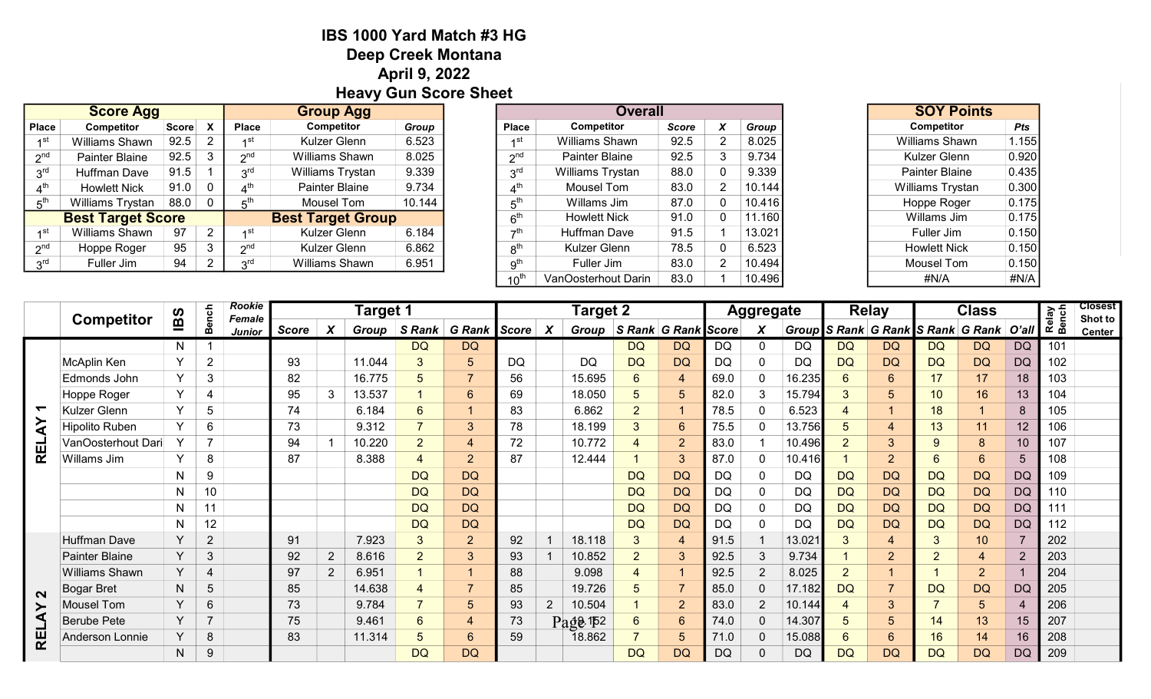## IBS 1000 Yard Match #3 HG Deep Creek Montana April 9, 2022 Heavy Gun Score Sheet

|                 | <b>Score Agg</b>         |              |   | <b>Group Agg</b> |                           |        |  |  |  |
|-----------------|--------------------------|--------------|---|------------------|---------------------------|--------|--|--|--|
| <b>Place</b>    | <b>Competitor</b>        | <b>Score</b> |   | <b>Place</b>     | Competitor                | Group  |  |  |  |
|                 | Williams Shawn           | 92.5         |   | ⊿st              | Kulzer Glenn              | 6.523  |  |  |  |
| $2^{nd}$        | Painter Blaine           | 92.5         |   | 2 <sup>nd</sup>  | 8.025<br>Williams Shawn   |        |  |  |  |
| 3 <sup>rd</sup> | Huffman Dave             | 91.5         |   | $3^{\text{rd}}$  | 9.339<br>Williams Trystan |        |  |  |  |
|                 | <b>Howlett Nick</b>      | 91.0         |   | 4 <sup>th</sup>  | Painter Blaine<br>9.734   |        |  |  |  |
| $5^{\text{th}}$ | Williams Trystan         | 88.0         | 0 | 5 <sup>th</sup>  | Mousel Tom                | 10.144 |  |  |  |
|                 | <b>Best Target Score</b> |              |   |                  | <b>Best Target Group</b>  |        |  |  |  |
| ⊿st             | Williams Shawn           | 97           | 2 | ⊿st              | Kulzer Glenn              | 6.184  |  |  |  |
| $2^{nd}$        | Hoppe Roger              | 95           | 3 | 2 <sup>nd</sup>  | Kulzer Glenn              | 6.862  |  |  |  |
| $3^{\text{rd}}$ | Fuller Jim               | 94           |   | 2 <sup>rd</sup>  | Williams Shawn            | 6.951  |  |  |  |
|                 |                          |              |   |                  |                           |        |  |  |  |

| Group Agg               |        |                  | Overall             |              | <b>SUT POINS</b> |        |                       |            |
|-------------------------|--------|------------------|---------------------|--------------|------------------|--------|-----------------------|------------|
| <b>Competitor</b>       | Group  | <b>Place</b>     | <b>Competitor</b>   | <b>Score</b> | X                | Group  | <b>Competitor</b>     | <b>Pts</b> |
| Kulzer Glenn            | 6.523  | 1 <sup>st</sup>  | Williams Shawn      | 92.5         | 2                | 8.025  | Williams Shawn        | 1.155      |
| 8.025<br>Williams Shawn |        | 2 <sup>nd</sup>  | Painter Blaine      | 92.5         | 3                | 9.734  | Kulzer Glenn          | 0.920      |
| Williams Trystan        | 9.339  | 3 <sup>rd</sup>  | Williams Trystan    | 88.0         | 0                | 9.339  | <b>Painter Blaine</b> | 0.435      |
| Painter Blaine          | 9.734  | $4^{\text{th}}$  | Mousel Tom          | 83.0         | 2                | 10.144 | Williams Trystan      | 0.300      |
| Mousel Tom              | 10.144 | 5 <sup>th</sup>  | Willams Jim         | 87.0         | 0                | 10.416 | Hoppe Roger           | 0.175      |
| st Target Group         |        | 6 <sup>th</sup>  | <b>Howlett Nick</b> | 91.0         | 0                | 11.160 | Willams Jim           | 0.175      |
| Kulzer Glenn            | 6.184  | 7 <sup>th</sup>  | <b>Huffman Dave</b> | 91.5         |                  | 13.021 | Fuller Jim            | 0.150      |
| Kulzer Glenn            | 6.862  | 8 <sup>th</sup>  | Kulzer Glenn        | 78.5         | 0                | 6.523  | <b>Howlett Nick</b>   | 0.150      |
| Williams Shawn          | 6.951  | 9 <sup>th</sup>  | Fuller Jim          | 83.0         | $\overline{2}$   | 10.494 | Mousel Tom            | 0.150      |
|                         |        | 10 <sup>th</sup> | VanOosterhout Darin | 83.0         |                  | 10.496 | #N/A                  | #N/A       |

| <b>SOY Points</b>       |            |
|-------------------------|------------|
| Competitor              | <b>Pts</b> |
| <b>Williams Shawn</b>   | 1.155      |
| Kulzer Glenn            | 0.920      |
| <b>Painter Blaine</b>   | 0.435      |
| <b>Williams Trystan</b> | 0.300      |
| Hoppe Roger             | 0.175      |
| Willams Jim             | 0.175      |
| Fuller Jim              | 0.150      |
| <b>Howlett Nick</b>     | 0.150      |
| Mousel Tom              | 0.150      |
| #N/A                    | #N/A       |

|            | <b>Competitor</b>      | <b>Bench</b><br><b>BS</b> |                | <b>Rookie</b><br><b>Female</b> | Target 1 |                |        |                     |                  |           | <b>Target 2</b> |            |                     |                |           |                | <b>Aggregate</b> |                | <b>Relay</b>   |                | <b>Class</b>                            |                 | Relay<br>Bench | <b>Closest</b><br>Shot to |
|------------|------------------------|---------------------------|----------------|--------------------------------|----------|----------------|--------|---------------------|------------------|-----------|-----------------|------------|---------------------|----------------|-----------|----------------|------------------|----------------|----------------|----------------|-----------------------------------------|-----------------|----------------|---------------------------|
|            |                        |                           |                | Junior                         | Score    | X              |        | Group S Rank G Rank |                  | Score     | X               | Group      | S Rank G Rank Score |                |           | X              |                  |                |                |                | Group S Rank G Rank S Rank G Rank O'all |                 |                | <b>Center</b>             |
|            |                        | N                         |                |                                |          |                |        | DQ                  | <b>DQ</b>        |           |                 |            | DQ                  | <b>DQ</b>      | DQ        | $\Omega$       | DQ               | <b>DQ</b>      | <b>DQ</b>      | DQ             | <b>DQ</b>                               | <b>DQ</b>       | 101            |                           |
|            | McAplin Ken            | Y                         | $\overline{2}$ |                                | 93       |                | 11.044 | 3                   | 5                | <b>DQ</b> |                 | DQ         | <b>DQ</b>           | <b>DQ</b>      | DQ        | $\mathbf 0$    | DQ               | <b>DQ</b>      | <b>DQ</b>      | <b>DQ</b>      | <b>DQ</b>                               | <b>DQ</b>       | 102            |                           |
|            | Edmonds John           | Y                         | 3              |                                | 82       |                | 16.775 | 5                   | $\overline{7}$   | 56        |                 | 15.695     | 6                   | $\overline{4}$ | 69.0      | $\mathbf 0$    | 16.235           | 6              | 6              | 17             | 17                                      | 18              | 103            |                           |
|            | Hoppe Roger            | Y                         | 4              |                                | 95       | 3              | 13.537 |                     | 6                | 69        |                 | 18.050     | 5                   | 5              | 82.0      | 3              | 15.794           | 3 <sup>1</sup> | 5              | 10             | 16                                      | 13              | 104            |                           |
|            | Kulzer Glenn           | $\checkmark$              | 5              |                                | 74       |                | 6.184  | 6                   | $\overline{1}$   | 83        |                 | 6.862      | $\overline{2}$      |                | 78.5      | $\mathbf{0}$   | 6.523            | 4              |                | 18             |                                         | 8               | 105            |                           |
| ⋖          | Hipolito Ruben         | Y                         | 6              |                                | 73       |                | 9.312  |                     | 3                | 78        |                 | 18.199     | 3                   | 6              | 75.5      | $\mathbf{0}$   | 13.756           | 5              | 4              | 13             | 11                                      | 12              | 106            |                           |
| <b>REL</b> | VanOosterhout Dari     | Y                         | 7              |                                | 94       |                | 10.220 | $\overline{2}$      | 4                | 72        |                 | 10.772     | $\overline{4}$      | $\overline{2}$ | 83.0      |                | 10.496           | $\overline{2}$ | 3              | 9              | 8                                       | 10 <sup>1</sup> | 107            |                           |
|            | Willams Jim            | Y                         | 8              |                                | 87       |                | 8.388  |                     | $\overline{2}$   | 87        |                 | 12.444     |                     | 3              | 87.0      | $\mathbf{0}$   | 10.416           |                | $\overline{2}$ | 6              | 6                                       | 5               | 108            |                           |
|            |                        | N                         | 9              |                                |          |                |        | <b>DQ</b>           | <b>DQ</b>        |           |                 |            | <b>DQ</b>           | <b>DQ</b>      | <b>DQ</b> | $\mathbf 0$    | DQ               | <b>DQ</b>      | <b>DQ</b>      | <b>DQ</b>      | <b>DQ</b>                               | <b>DQ</b>       | 109            |                           |
|            |                        | N                         | 10             |                                |          |                |        | <b>DQ</b>           | <b>DQ</b>        |           |                 |            | <b>DQ</b>           | <b>DQ</b>      | DQ        | $\mathbf 0$    | DQ               | <b>DQ</b>      | <b>DQ</b>      | <b>DQ</b>      | <b>DQ</b>                               | <b>DQ</b>       | 110            |                           |
|            |                        | N                         | 11             |                                |          |                |        | <b>DQ</b>           | <b>DQ</b>        |           |                 |            | <b>DQ</b>           | <b>DQ</b>      | DQ        | $\mathbf 0$    | DQ               | <b>DQ</b>      | <b>DQ</b>      | <b>DQ</b>      | <b>DQ</b>                               | <b>DQ</b>       | 111            |                           |
|            |                        | N                         | 12             |                                |          |                |        | <b>DQ</b>           | <b>DQ</b>        |           |                 |            | <b>DQ</b>           | <b>DQ</b>      | <b>DQ</b> | $\mathbf 0$    | <b>DQ</b>        | <b>DQ</b>      | <b>DQ</b>      | <b>DQ</b>      | <b>DQ</b>                               | <b>DQ</b>       | 112            |                           |
|            | <b>Huffman Dave</b>    | Y                         | $\overline{2}$ |                                | 91       |                | 7.923  | 3                   | $\overline{2}$   | 92        |                 | 18.118     | 3                   | $\overline{4}$ | 91.5      |                | 13.021           | 3              | 4              | $\mathbf{3}$   | 10                                      |                 | 202            |                           |
|            | Painter Blaine         | Y                         | 3              |                                | 92       | $\overline{2}$ | 8.616  | $\overline{2}$      | 3                | 93        |                 | 10.852     | $\overline{2}$      | 3              | 92.5      | 3              | 9.734            |                | $\overline{2}$ | $\overline{2}$ | $\overline{4}$                          | $\overline{2}$  | 203            |                           |
|            | Williams Shawn         | Y                         | 4              |                                | 97       | $\overline{2}$ | 6.951  |                     | $\overline{1}$   | 88        |                 | 9.098      | $\overline{4}$      |                | 92.5      | $\overline{2}$ | 8.025            | $\overline{2}$ |                |                | $\overline{2}$                          |                 | 204            |                           |
| $\sim$     | <b>Bogar Bret</b>      | N                         | 5              |                                | 85       |                | 14.638 | $\overline{4}$      | $\overline{7}$   | 85        |                 | 19.726     | 5                   | $\overline{7}$ | 85.0      | $\mathbf{0}$   | 17.182           | <b>DQ</b>      | $\overline{7}$ | <b>DQ</b>      | <b>DQ</b>                               | <b>DQ</b>       | 205            |                           |
| ⋩          | Mousel Tom             | Y                         | 6              |                                | 73       |                | 9.784  |                     | 5                | 93        | $\overline{2}$  | 10.504     |                     | $\overline{2}$ | 83.0      | $\overline{2}$ | 10.144           | 4              | 3              | $\overline{7}$ | $5\overline{)}$                         |                 | 206            |                           |
|            | <b>Berube Pete</b>     | Y                         | $\overline{7}$ |                                | 75       |                | 9.461  | 6                   | 4                | 73        |                 | $Pa48$ 152 | $6\phantom{1}6$     | 6              | 74.0      | 0              | 14.307           | 5              | 5              | 14             | 13                                      | 15              | 207            |                           |
| RE         | <b>Anderson Lonnie</b> | Y                         | 8              |                                | 83       |                | 11.314 |                     | $6 \overline{6}$ | 59        |                 | 18.862     |                     | 5              | 71.0      | $\mathbf 0$    | 15.088           | 6              | 6              | 16             | 14                                      | 16              | 208            |                           |
|            |                        | N                         | 9              |                                |          |                |        | <b>DQ</b>           | <b>DQ</b>        |           |                 |            | <b>DQ</b>           | <b>DQ</b>      | <b>DQ</b> | $\Omega$       | <b>DQ</b>        | <b>DQ</b>      | <b>DQ</b>      | <b>DQ</b>      | <b>DQ</b>                               | <b>DQ</b>       | 209            |                           |